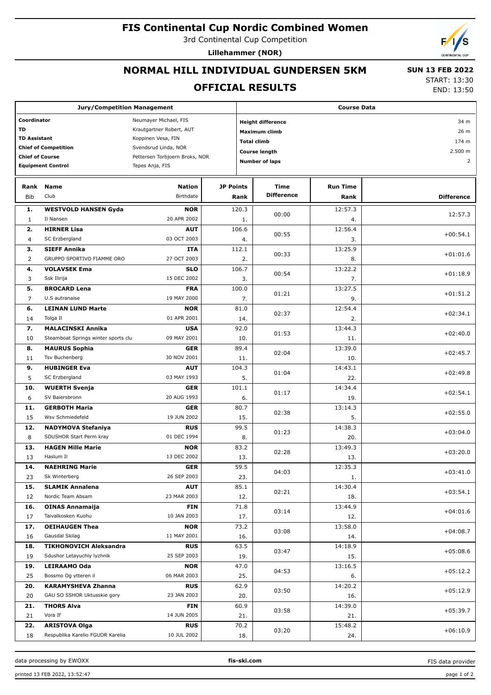# **FIS Continental Cup Nordic Combined Women**

3rd Continental Cup Competition

**Lillehammer (NOR)**

## **NORMAL HILL INDIVIDUAL GUNDERSEN 5KM**

### **OFFICIAL RESULTS**

 **SUN 13 FEB 2022** START: 13:30

END: 13:50

| <b>Jury/Competition Management</b>                       |                                     |                      |                    | <b>Course Data</b>               |                                               |                 |                   |  |  |
|----------------------------------------------------------|-------------------------------------|----------------------|--------------------|----------------------------------|-----------------------------------------------|-----------------|-------------------|--|--|
| Coordinator<br>Neumayer Michael, FIS                     |                                     |                      |                    | <b>Height difference</b><br>34 m |                                               |                 |                   |  |  |
| TD                                                       | Krautgartner Robert, AUT            |                      |                    | Maximum climb                    |                                               |                 |                   |  |  |
| <b>TD Assistant</b>                                      |                                     | Koppinen Vesa, FIN   | <b>Total climb</b> |                                  |                                               |                 | 26 m<br>174 m     |  |  |
|                                                          | <b>Chief of Competition</b>         | Svendsrud Linda, NOR |                    |                                  | 2.500 m                                       |                 |                   |  |  |
| <b>Chief of Course</b><br>Pettersen Torbjoern Broks, NOR |                                     |                      |                    |                                  | <b>Course length</b><br><b>Number of laps</b> | $\overline{2}$  |                   |  |  |
|                                                          | <b>Equipment Control</b>            | Tepes Anja, FIS      |                    |                                  |                                               |                 |                   |  |  |
| Rank                                                     | <b>Name</b>                         | <b>Nation</b>        | <b>JP Points</b>   |                                  | <b>Time</b>                                   | <b>Run Time</b> |                   |  |  |
| <b>Bib</b>                                               | Club                                | Birthdate            |                    | Rank                             | <b>Difference</b>                             | Rank            | <b>Difference</b> |  |  |
| 1.                                                       | <b>WESTVOLD HANSEN Gyda</b>         | <b>NOR</b>           |                    | 120.3                            |                                               | 12:57.3         |                   |  |  |
| 1                                                        | Il Nansen                           | 20 APR 2002          |                    | 1.                               | 00:00                                         | 4.              | 12:57.3           |  |  |
| 2.                                                       | <b>HIRNER Lisa</b>                  | <b>AUT</b>           |                    | 106.6                            |                                               | 12:56.4         |                   |  |  |
| 4                                                        | SC Erzbergland                      | 03 OCT 2003          |                    | 4.                               | 00:55                                         | 3.              | $+00:54.1$        |  |  |
| з.                                                       | <b>SIEFF Annika</b>                 | ITA                  |                    | 112.1                            |                                               | 13:25.9         |                   |  |  |
| 2                                                        | GRUPPO SPORTIVO FIAMME ORO          | 27 OCT 2003          |                    | 2.                               | 00:33                                         | 8.              | $+01:01.6$        |  |  |
| 4.                                                       | <b>VOLAVSEK Ema</b>                 | <b>SLO</b>           |                    | 106.7                            |                                               | 13:22.2         |                   |  |  |
| 3                                                        | Ssk Ilirija                         | 15 DEC 2002          |                    | 3.                               | 00:54                                         | 7.              | $+01:18.9$        |  |  |
| 5.                                                       | <b>BROCARD Lena</b>                 | <b>FRA</b>           |                    | 100.0                            |                                               | 13:27.5         |                   |  |  |
| $\overline{7}$                                           | U.S autranaise                      | 19 MAY 2000          |                    | 7.                               | 01:21                                         | 9.              | $+01:51.2$        |  |  |
| 6.                                                       | <b>LEINAN LUND Marte</b>            | <b>NOR</b>           |                    | 81.0                             |                                               | 12:54.4         |                   |  |  |
| 14                                                       | Tolga Il                            | 01 APR 2001          |                    | 14.                              | 02:37                                         | 2.              | $+02:34.1$        |  |  |
| 7.                                                       | <b>MALACINSKI Annika</b>            | <b>USA</b>           |                    | 92.0                             |                                               | 13:44.3         |                   |  |  |
| 10                                                       | Steamboat Springs winter sports clu | 09 MAY 2001          |                    | 10.                              | 01:53                                         | 11.             | $+02:40.0$        |  |  |
| 8.                                                       | <b>MAURUS Sophia</b>                | <b>GER</b>           |                    | 89.4                             |                                               | 13:39.0         |                   |  |  |
| 11                                                       | Tsv Buchenberg                      | 30 NOV 2001          |                    | 11.                              | 02:04                                         | 10.             | $+02:45.7$        |  |  |
| 9.                                                       | <b>HUBINGER Eva</b>                 | <b>AUT</b>           |                    | 104.3                            |                                               | 14:43.1         |                   |  |  |
| 5                                                        | SC Erzbergland                      | 03 MAY 1993          |                    | 5.                               | 01:04                                         | 22.             | $+02:49.8$        |  |  |
| 10.                                                      | <b>WUERTH Svenja</b>                | <b>GER</b>           |                    | 101.1                            |                                               | 14:34.4         |                   |  |  |
| 6                                                        | SV Baiersbronn                      | 20 AUG 1993          |                    | 6.                               | 01:17                                         | 19.             | $+02:54.1$        |  |  |
| 11.                                                      | <b>GERBOTH Maria</b>                | <b>GER</b>           |                    | 80.7                             |                                               | 13:14.3         |                   |  |  |
| 15                                                       | Wsv Schmiedefeld                    | 19 JUN 2002          |                    | 15.                              | 02:38                                         | 5.              | $+02:55.0$        |  |  |
| 12.                                                      | <b>NADYMOVA Stefaniya</b>           | <b>RUS</b>           |                    | 99.5                             |                                               | 14:38.3         |                   |  |  |
| 8                                                        | SDUSHOR Start Perm kray             | 01 DEC 1994          |                    | 8.                               | 01:23                                         | 20.             | $+03:04.0$        |  |  |
| 13.                                                      | <b>HAGEN Mille Marie</b>            | <b>NOR</b>           |                    | 83.2                             |                                               | 13:49.3         |                   |  |  |
| 13                                                       | Haslum II                           | 13 DEC 2002          |                    | 13.                              | 02:28                                         | 13.             | $+03:20.0$        |  |  |
| 14.                                                      | <b>NAEHRING Marie</b>               | <b>GER</b>           |                    | 59.5                             |                                               | 12:35.3         |                   |  |  |
| 23                                                       | Sk Winterberg                       | 26 SEP 2003          |                    | 23.                              | 04:03                                         | 1.              | $+03:41.0$        |  |  |
| 15.                                                      | <b>SLAMIK Annalena</b>              | <b>AUT</b>           |                    | 85.1                             | 02:21                                         | 14:30.4         | $+03:54.1$        |  |  |
| 12                                                       | Nordic Team Absam                   | 23 MAR 2003          |                    | 12.                              |                                               | 18.             |                   |  |  |
| 16.                                                      | <b>OINAS Annamaija</b>              | <b>FIN</b>           |                    | 71.8                             | 03:14                                         | 13:44.9         | $+04:01.6$        |  |  |
| 17                                                       | Taivalkosken Kuohu                  | 10 JAN 2003          |                    | 17.                              |                                               | 12.             |                   |  |  |
| 17.                                                      | <b>OEIHAUGEN Thea</b>               | <b>NOR</b>           |                    | 73.2                             | 03:08                                         | 13:58.0         | $+04:08.7$        |  |  |
| 16                                                       | Gausdal Skilag                      | 11 MAY 2001          |                    | 16.                              |                                               | 14.             |                   |  |  |
| 18.                                                      | <b>TIKHONOVICH Aleksandra</b>       | <b>RUS</b>           |                    | 63.5                             | 03:47                                         | 14:18.9         | $+05:08.6$        |  |  |
| 19                                                       | Sdushor Letayuchiy lyzhnik          | 25 SEP 2003          |                    | 19.                              |                                               | 15.             |                   |  |  |
| 19.                                                      | LEIRAAMO Oda                        | <b>NOR</b>           |                    | 47.0                             | 04:53                                         | 13:16.5         | $+05:12.2$        |  |  |
| 25                                                       | Bossmo Og ytteren il                | 06 MAR 2003          |                    | 25.                              |                                               | 6.              |                   |  |  |
| 20.                                                      | <b>KARAMYSHEVA Zhanna</b>           | <b>RUS</b>           |                    | 62.9                             | 03:50                                         | 14:20.2         | $+05:12.9$        |  |  |
| 20                                                       | GAU SO SSHOR Uktusskie gory         | 23 JAN 2003          |                    | 20.                              |                                               | 16.             |                   |  |  |
| 21.                                                      | <b>THORS Alva</b>                   | FIN                  |                    | 60.9                             | 03:58                                         | 14:39.0         | $+05:39.7$        |  |  |
| 21                                                       | Vora If                             | 14 JUN 2005          |                    | 21.                              |                                               | 21.             |                   |  |  |
| 22.                                                      | <b>ARISTOVA Olga</b>                | <b>RUS</b>           |                    | 70.2                             | 03:20                                         | 15:48.2         | $+06:10.9$        |  |  |
| 18                                                       | Respublika Karelio FGUOR Karelia    | 10 JUL 2002          |                    | 18.                              |                                               | 24.             |                   |  |  |

data processing by EWOXX **fis-ski.com**

FIS data provider